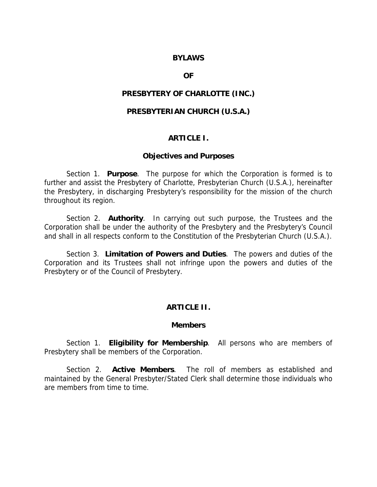## **BYLAWS**

## **OF**

# **PRESBYTERY OF CHARLOTTE (INC.)**

# **PRESBYTERIAN CHURCH (U.S.A.)**

### **ARTICLE I.**

# **Objectives and Purposes**

 Section 1. **Purpose**. The purpose for which the Corporation is formed is to further and assist the Presbytery of Charlotte, Presbyterian Church (U.S.A.), hereinafter the Presbytery, in discharging Presbytery's responsibility for the mission of the church throughout its region.

 Section 2. **Authority**. In carrying out such purpose, the Trustees and the Corporation shall be under the authority of the Presbytery and the Presbytery's Council and shall in all respects conform to the Constitution of the Presbyterian Church (U.S.A.).

 Section 3. **Limitation of Powers and Duties**. The powers and duties of the Corporation and its Trustees shall not infringe upon the powers and duties of the Presbytery or of the Council of Presbytery.

# **ARTICLE II.**

### **Members**

 Section 1. **Eligibility for Membership**. All persons who are members of Presbytery shall be members of the Corporation.

 Section 2. **Active Members**. The roll of members as established and maintained by the General Presbyter/Stated Clerk shall determine those individuals who are members from time to time.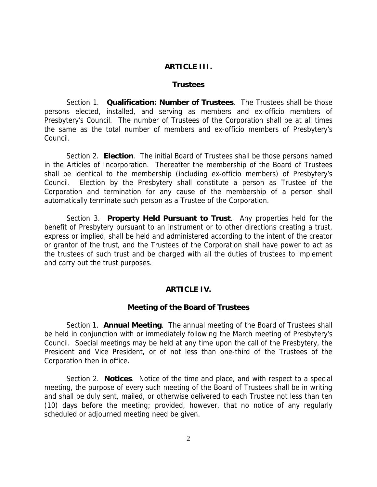# **ARTICLE III.**

### **Trustees**

 Section 1. **Qualification: Number of Trustees**. The Trustees shall be those persons elected, installed, and serving as members and ex-officio members of Presbytery's Council. The number of Trustees of the Corporation shall be at all times the same as the total number of members and ex-officio members of Presbytery's Council.

 Section 2. **Election**. The initial Board of Trustees shall be those persons named in the Articles of Incorporation. Thereafter the membership of the Board of Trustees shall be identical to the membership (including ex-officio members) of Presbytery's Council. Election by the Presbytery shall constitute a person as Trustee of the Corporation and termination for any cause of the membership of a person shall automatically terminate such person as a Trustee of the Corporation.

 Section 3. **Property Held Pursuant to Trust**. Any properties held for the benefit of Presbytery pursuant to an instrument or to other directions creating a trust, express or implied, shall be held and administered according to the intent of the creator or grantor of the trust, and the Trustees of the Corporation shall have power to act as the trustees of such trust and be charged with all the duties of trustees to implement and carry out the trust purposes.

### **ARTICLE IV.**

## **Meeting of the Board of Trustees**

 Section 1. **Annual Meeting**. The annual meeting of the Board of Trustees shall be held in conjunction with or immediately following the March meeting of Presbytery's Council. Special meetings may be held at any time upon the call of the Presbytery, the President and Vice President, or of not less than one-third of the Trustees of the Corporation then in office.

 Section 2. **Notices**. Notice of the time and place, and with respect to a special meeting, the purpose of every such meeting of the Board of Trustees shall be in writing and shall be duly sent, mailed, or otherwise delivered to each Trustee not less than ten (10) days before the meeting; provided, however, that no notice of any regularly scheduled or adjourned meeting need be given.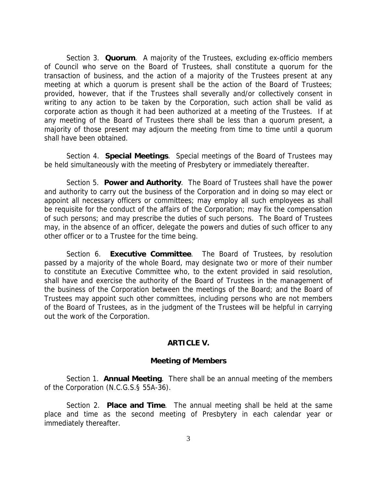Section 3. **Quorum**. A majority of the Trustees, excluding ex-officio members of Council who serve on the Board of Trustees, shall constitute a quorum for the transaction of business, and the action of a majority of the Trustees present at any meeting at which a quorum is present shall be the action of the Board of Trustees; provided, however, that if the Trustees shall severally and/or collectively consent in writing to any action to be taken by the Corporation, such action shall be valid as corporate action as though it had been authorized at a meeting of the Trustees. If at any meeting of the Board of Trustees there shall be less than a quorum present, a majority of those present may adjourn the meeting from time to time until a quorum shall have been obtained.

 Section 4. **Special Meetings**. Special meetings of the Board of Trustees may be held simultaneously with the meeting of Presbytery or immediately thereafter.

 Section 5. **Power and Authority**. The Board of Trustees shall have the power and authority to carry out the business of the Corporation and in doing so may elect or appoint all necessary officers or committees; may employ all such employees as shall be requisite for the conduct of the affairs of the Corporation; may fix the compensation of such persons; and may prescribe the duties of such persons. The Board of Trustees may, in the absence of an officer, delegate the powers and duties of such officer to any other officer or to a Trustee for the time being.

 Section 6. **Executive Committee**. The Board of Trustees, by resolution passed by a majority of the whole Board, may designate two or more of their number to constitute an Executive Committee who, to the extent provided in said resolution, shall have and exercise the authority of the Board of Trustees in the management of the business of the Corporation between the meetings of the Board; and the Board of Trustees may appoint such other committees, including persons who are not members of the Board of Trustees, as in the judgment of the Trustees will be helpful in carrying out the work of the Corporation.

## **ARTICLE V.**

#### **Meeting of Members**

 Section 1. **Annual Meeting**. There shall be an annual meeting of the members of the Corporation (N.C.G.S.§ 55A-36).

 Section 2. **Place and Time**. The annual meeting shall be held at the same place and time as the second meeting of Presbytery in each calendar year or immediately thereafter.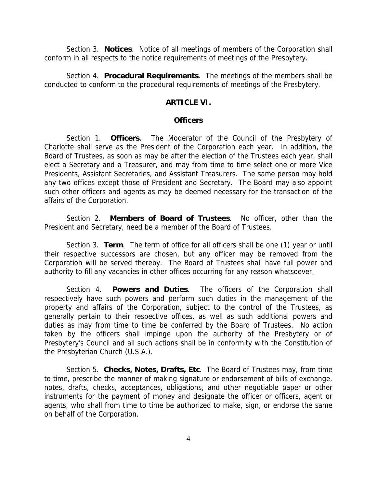Section 3. **Notices**. Notice of all meetings of members of the Corporation shall conform in all respects to the notice requirements of meetings of the Presbytery.

 Section 4. **Procedural Requirements**. The meetings of the members shall be conducted to conform to the procedural requirements of meetings of the Presbytery.

# **ARTICLE VI.**

#### **Officers**

 Section 1. **Officers**. The Moderator of the Council of the Presbytery of Charlotte shall serve as the President of the Corporation each year. In addition, the Board of Trustees, as soon as may be after the election of the Trustees each year, shall elect a Secretary and a Treasurer, and may from time to time select one or more Vice Presidents, Assistant Secretaries, and Assistant Treasurers. The same person may hold any two offices except those of President and Secretary. The Board may also appoint such other officers and agents as may be deemed necessary for the transaction of the affairs of the Corporation.

 Section 2. **Members of Board of Trustees**. No officer, other than the President and Secretary, need be a member of the Board of Trustees.

 Section 3. **Term**. The term of office for all officers shall be one (1) year or until their respective successors are chosen, but any officer may be removed from the Corporation will be served thereby. The Board of Trustees shall have full power and authority to fill any vacancies in other offices occurring for any reason whatsoever.

 Section 4. **Powers and Duties**. The officers of the Corporation shall respectively have such powers and perform such duties in the management of the property and affairs of the Corporation, subject to the control of the Trustees, as generally pertain to their respective offices, as well as such additional powers and duties as may from time to time be conferred by the Board of Trustees. No action taken by the officers shall impinge upon the authority of the Presbytery or of Presbytery's Council and all such actions shall be in conformity with the Constitution of the Presbyterian Church (U.S.A.).

 Section 5. **Checks, Notes, Drafts, Etc**. The Board of Trustees may, from time to time, prescribe the manner of making signature or endorsement of bills of exchange, notes, drafts, checks, acceptances, obligations, and other negotiable paper or other instruments for the payment of money and designate the officer or officers, agent or agents, who shall from time to time be authorized to make, sign, or endorse the same on behalf of the Corporation.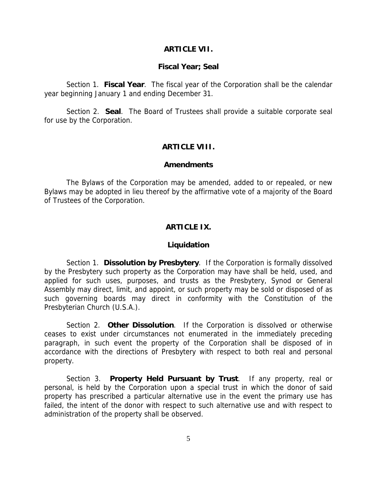#### **ARTICLE VII.**

#### **Fiscal Year; Seal**

 Section 1. **Fiscal Year**. The fiscal year of the Corporation shall be the calendar year beginning January 1 and ending December 31.

 Section 2. **Seal**. The Board of Trustees shall provide a suitable corporate seal for use by the Corporation.

# **ARTICLE VIII.**

### **Amendments**

 The Bylaws of the Corporation may be amended, added to or repealed, or new Bylaws may be adopted in lieu thereof by the affirmative vote of a majority of the Board of Trustees of the Corporation.

# **ARTICLE IX.**

#### **Liquidation**

 Section 1. **Dissolution by Presbytery**. If the Corporation is formally dissolved by the Presbytery such property as the Corporation may have shall be held, used, and applied for such uses, purposes, and trusts as the Presbytery, Synod or General Assembly may direct, limit, and appoint, or such property may be sold or disposed of as such governing boards may direct in conformity with the Constitution of the Presbyterian Church (U.S.A.).

 Section 2. **Other Dissolution**. If the Corporation is dissolved or otherwise ceases to exist under circumstances not enumerated in the immediately preceding paragraph, in such event the property of the Corporation shall be disposed of in accordance with the directions of Presbytery with respect to both real and personal property.

 Section 3. **Property Held Pursuant by Trust**. If any property, real or personal, is held by the Corporation upon a special trust in which the donor of said property has prescribed a particular alternative use in the event the primary use has failed, the intent of the donor with respect to such alternative use and with respect to administration of the property shall be observed.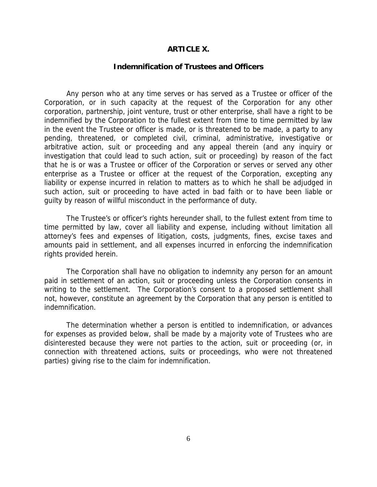#### **ARTICLE X.**

#### **Indemnification of Trustees and Officers**

 Any person who at any time serves or has served as a Trustee or officer of the Corporation, or in such capacity at the request of the Corporation for any other corporation, partnership, joint venture, trust or other enterprise, shall have a right to be indemnified by the Corporation to the fullest extent from time to time permitted by law in the event the Trustee or officer is made, or is threatened to be made, a party to any pending, threatened, or completed civil, criminal, administrative, investigative or arbitrative action, suit or proceeding and any appeal therein (and any inquiry or investigation that could lead to such action, suit or proceeding) by reason of the fact that he is or was a Trustee or officer of the Corporation or serves or served any other enterprise as a Trustee or officer at the request of the Corporation, excepting any liability or expense incurred in relation to matters as to which he shall be adjudged in such action, suit or proceeding to have acted in bad faith or to have been liable or guilty by reason of willful misconduct in the performance of duty.

 The Trustee's or officer's rights hereunder shall, to the fullest extent from time to time permitted by law, cover all liability and expense, including without limitation all attorney's fees and expenses of litigation, costs, judgments, fines, excise taxes and amounts paid in settlement, and all expenses incurred in enforcing the indemnification rights provided herein.

 The Corporation shall have no obligation to indemnity any person for an amount paid in settlement of an action, suit or proceeding unless the Corporation consents in writing to the settlement. The Corporation's consent to a proposed settlement shall not, however, constitute an agreement by the Corporation that any person is entitled to indemnification.

 The determination whether a person is entitled to indemnification, or advances for expenses as provided below, shall be made by a majority vote of Trustees who are disinterested because they were not parties to the action, suit or proceeding (or, in connection with threatened actions, suits or proceedings, who were not threatened parties) giving rise to the claim for indemnification.